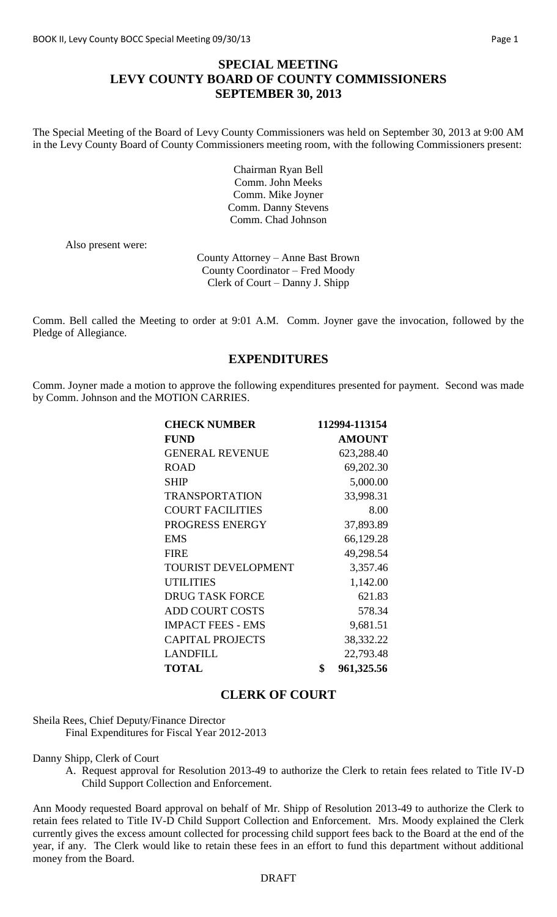# **SPECIAL MEETING LEVY COUNTY BOARD OF COUNTY COMMISSIONERS SEPTEMBER 30, 2013**

The Special Meeting of the Board of Levy County Commissioners was held on September 30, 2013 at 9:00 AM in the Levy County Board of County Commissioners meeting room, with the following Commissioners present:

> Chairman Ryan Bell Comm. John Meeks Comm. Mike Joyner Comm. Danny Stevens Comm. Chad Johnson

Also present were:

County Attorney – Anne Bast Brown County Coordinator – Fred Moody Clerk of Court – Danny J. Shipp

Comm. Bell called the Meeting to order at 9:01 A.M. Comm. Joyner gave the invocation, followed by the Pledge of Allegiance.

## **EXPENDITURES**

Comm. Joyner made a motion to approve the following expenditures presented for payment. Second was made by Comm. Johnson and the MOTION CARRIES.

| <b>CHECK NUMBER</b>        | 112994-113154    |
|----------------------------|------------------|
| <b>FUND</b>                | <b>AMOUNT</b>    |
| <b>GENERAL REVENUE</b>     | 623,288.40       |
| <b>ROAD</b>                | 69,202.30        |
| <b>SHIP</b>                | 5,000.00         |
| <b>TRANSPORTATION</b>      | 33,998.31        |
| <b>COURT FACILITIES</b>    | 8.00             |
| PROGRESS ENERGY            | 37,893.89        |
| EMS                        | 66,129.28        |
| <b>FIRE</b>                | 49,298.54        |
| <b>TOURIST DEVELOPMENT</b> | 3,357.46         |
| <b>UTILITIES</b>           | 1,142.00         |
| <b>DRUG TASK FORCE</b>     | 621.83           |
| <b>ADD COURT COSTS</b>     | 578.34           |
| <b>IMPACT FEES - EMS</b>   | 9,681.51         |
| <b>CAPITAL PROJECTS</b>    | 38,332.22        |
| <b>LANDFILL</b>            | 22,793.48        |
| <b>TOTAL</b>               | \$<br>961,325.56 |

#### **CLERK OF COURT**

Sheila Rees, Chief Deputy/Finance Director Final Expenditures for Fiscal Year 2012-2013

Danny Shipp, Clerk of Court

A. Request approval for Resolution 2013-49 to authorize the Clerk to retain fees related to Title IV-D Child Support Collection and Enforcement.

Ann Moody requested Board approval on behalf of Mr. Shipp of Resolution 2013-49 to authorize the Clerk to retain fees related to Title IV-D Child Support Collection and Enforcement. Mrs. Moody explained the Clerk currently gives the excess amount collected for processing child support fees back to the Board at the end of the year, if any. The Clerk would like to retain these fees in an effort to fund this department without additional money from the Board.